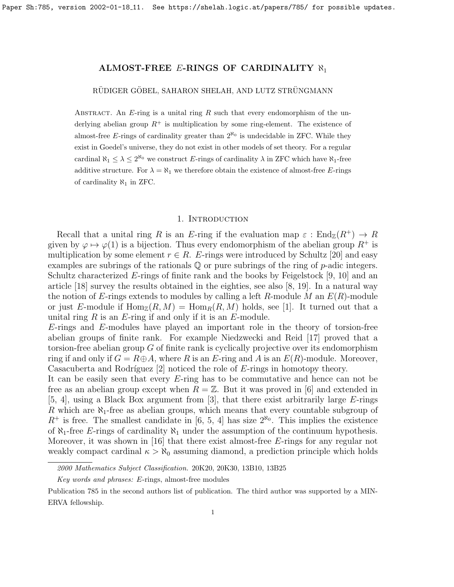# RÜDIGER GÖBEL, SAHARON SHELAH, AND LUTZ STRÜNGMANN

ABSTRACT. An  $E$ -ring is a unital ring  $R$  such that every endomorphism of the underlying abelian group  $R^+$  is multiplication by some ring-element. The existence of almost-free E-rings of cardinality greater than  $2^{\aleph_0}$  is undecidable in ZFC. While they exist in Goedel's universe, they do not exist in other models of set theory. For a regular cardinal  $\aleph_1 \leq \lambda \leq 2^{\aleph_0}$  we construct E-rings of cardinality  $\lambda$  in ZFC which have  $\aleph_1$ -free additive structure. For  $\lambda = \aleph_1$  we therefore obtain the existence of almost-free E-rings of cardinality  $\aleph_1$  in ZFC.

### 1. INTRODUCTION

Recall that a unital ring R is an E-ring if the evaluation map  $\varepsilon : \text{End}_{\mathbb{Z}}(R^+) \to R$ given by  $\varphi \mapsto \varphi(1)$  is a bijection. Thus every endomorphism of the abelian group  $R^+$  is multiplication by some element  $r \in R$ . E-rings were introduced by Schultz [\[20\]](#page-16-0) and easy examples are subrings of the rationals  $\mathbb Q$  or pure subrings of the ring of  $p$ -adic integers. Schultz characterized  $E$ -rings of finite rank and the books by Feigelstock [\[9,](#page-16-1) [10\]](#page-16-2) and an article [\[18\]](#page-16-3) survey the results obtained in the eighties, see also [\[8,](#page-16-4) [19\]](#page-16-5). In a natural way the notion of E-rings extends to modules by calling a left R-module M an  $E(R)$ -module or just E-module if  $\text{Hom}_{\mathbb{Z}}(R, M) = \text{Hom}_{R}(R, M)$  holds, see [\[1\]](#page-15-0). It turned out that a unital ring  $R$  is an  $E$ -ring if and only if it is an  $E$ -module.

E-rings and E-modules have played an important role in the theory of torsion-free abelian groups of finite rank. For example Niedzwecki and Reid [\[17\]](#page-16-6) proved that a torsion-free abelian group  $G$  of finite rank is cyclically projective over its endomorphism ring if and only if  $G = R \oplus A$ , where R is an E-ring and A is an  $E(R)$ -module. Moreover, Casacuberta and Rodríguez  $[2]$  noticed the role of E-rings in homotopy theory.

It can be easily seen that every E-ring has to be commutative and hence can not be free as an abelian group except when  $R = \mathbb{Z}$ . But it was proved in [\[6\]](#page-15-2) and extended in [\[5,](#page-15-3) [4\]](#page-15-4), using a Black Box argument from [\[3\]](#page-15-5), that there exist arbitrarily large E-rings R which are  $\aleph_1$ -free as abelian groups, which means that every countable subgroup of  $R^+$  is free. The smallest candidate in [\[6,](#page-15-2) [5,](#page-15-3) [4\]](#page-15-4) has size  $2^{\aleph_0}$ . This implies the existence of  $\aleph_1$ -free E-rings of cardinality  $\aleph_1$  under the assumption of the continuum hypothesis. Moreover, it was shown in [\[16\]](#page-16-7) that there exist almost-free  $E$ -rings for any regular not weakly compact cardinal  $\kappa > \aleph_0$  assuming diamond, a prediction principle which holds

<sup>2000</sup> Mathematics Subject Classification. 20K20, 20K30, 13B10, 13B25

Key words and phrases: E-rings, almost-free modules

Publication 785 in the second authors list of publication. The third author was supported by a MIN-ERVA fellowship.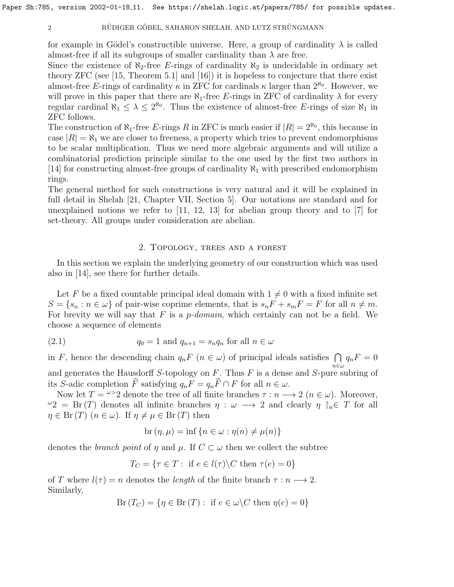for example in Gödel's constructible universe. Here, a group of cardinality  $\lambda$  is called almost-free if all its subgroups of smaller cardinality than  $\lambda$  are free.

Since the existence of  $\aleph_2$ -free E-rings of cardinality  $\aleph_2$  is undecidable in ordinary set theory ZFC (see [\[15,](#page-16-8) Theorem 5.1] and [\[16\]](#page-16-7)) it is hopeless to conjecture that there exist almost-free E-rings of cardinality  $\kappa$  in ZFC for cardinals  $\kappa$  larger than  $2^{\aleph_0}$ . However, we will prove in this paper that there are  $\aleph_1$ -free E-rings in ZFC of cardinality  $\lambda$  for every regular cardinal  $\aleph_1 \leq \lambda \leq 2^{\aleph_0}$ . Thus the existence of almost-free E-rings of size  $\aleph_1$  in ZFC follows.

The construction of  $\aleph_1$ -free E-rings R in ZFC is much easier if  $|R| = 2^{\aleph_0}$ , this because in case  $|R| = \aleph_1$  we are closer to freeness, a property which tries to prevent endomorphisms to be scalar multiplication. Thus we need more algebraic arguments and will utilize a combinatorial prediction principle similar to the one used by the first two authors in [\[14\]](#page-16-9) for constructing almost-free groups of cardinality  $\aleph_1$  with prescribed endomorphism rings.

The general method for such constructions is very natural and it will be explained in full detail in Shelah [\[21,](#page-16-10) Chapter VII, Section 5]. Our notations are standard and for unexplained notions we refer to [\[11,](#page-16-11) [12,](#page-16-12) [13\]](#page-16-13) for abelian group theory and to [\[7\]](#page-16-14) for set-theory. All groups under consideration are abelian.

## <span id="page-1-0"></span>2. Topology, trees and a forest

In this section we explain the underlying geometry of our construction which was used also in [\[14\]](#page-16-9), see there for further details.

Let F be a fixed countable principal ideal domain with  $1 \neq 0$  with a fixed infinite set  $S = \{s_n : n \in \omega\}$  of pair-wise coprime elements, that is  $s_n F + s_m F = F$  for all  $n \neq m$ . For brevity we will say that  $F$  is a *p*-domain, which certainly can not be a field. We choose a sequence of elements

(2.1) 
$$
q_0 = 1 \text{ and } q_{n+1} = s_n q_n \text{ for all } n \in \omega
$$

in F, hence the descending chain  $q_nF$   $(n \in \omega)$  of principal ideals satisfies  $\bigcap q_nF = 0$ and generates the Hausdorff S-topology on F. Thus F is a dense and S-pure subring of its S-adic completion  $\widehat{F}$  satisfying  $q_nF = q_n\widehat{F} \cap F$  for all  $n \in \omega$ .

Now let  $T = \omega > 2$  denote the tree of all finite branches  $\tau : n \longrightarrow 2$   $(n \in \omega)$ . Moreover,  $\omega_2 = Br(T)$  denotes all infinite branches  $\eta : \omega \longrightarrow 2$  and clearly  $\eta \upharpoonright_n \in T$  for all  $\eta \in \text{Br}(T)$   $(n \in \omega)$ . If  $\eta \neq \mu \in \text{Br}(T)$  then

$$
br(\eta, \mu) = inf \{ n \in \omega : \eta(n) \neq \mu(n) \}
$$

denotes the *branch point* of  $\eta$  and  $\mu$ . If  $C \subset \omega$  then we collect the subtree

$$
T_C = \{ \tau \in T : \text{ if } e \in l(\tau) \backslash C \text{ then } \tau(e) = 0 \}
$$

of T where  $l(\tau) = n$  denotes the *length* of the finite branch  $\tau : n \longrightarrow 2$ . Similarly,

$$
Br(T_C) = \{ \eta \in Br(T) : if e \in \omega \backslash C then \eta(e) = 0 \}
$$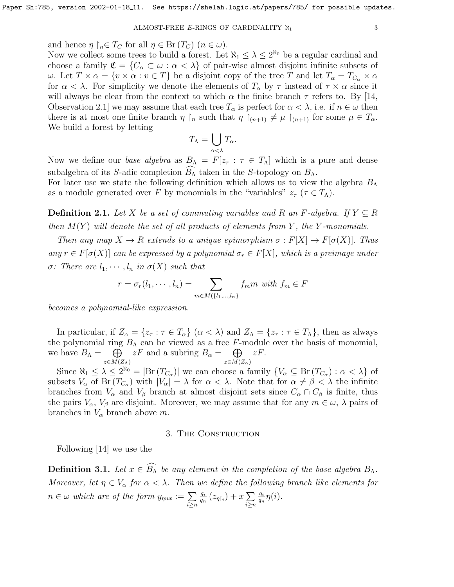and hence  $\eta \restriction_n \in T_C$  for all  $\eta \in \text{Br}(T_C)$   $(n \in \omega)$ .

Now we collect some trees to build a forest. Let  $\aleph_1 \leq \lambda \leq 2^{\aleph_0}$  be a regular cardinal and choose a family  $\mathfrak{C} = \{C_\alpha \subset \omega : \alpha < \lambda\}$  of pair-wise almost disjoint infinite subsets of ω. Let  $T \times \alpha = \{v \times \alpha : v \in T\}$  be a disjoint copy of the tree T and let  $T_{\alpha} = T_{C_{\alpha}} \times \alpha$ for  $\alpha < \lambda$ . For simplicity we denote the elements of  $T_{\alpha}$  by  $\tau$  instead of  $\tau \times \alpha$  since it will always be clear from the context to which  $\alpha$  the finite branch  $\tau$  refers to. By [\[14,](#page-16-9) Observation 2.1] we may assume that each tree  $T_{\alpha}$  is perfect for  $\alpha < \lambda$ , i.e. if  $n \in \omega$  then there is at most one finite branch  $\eta \restriction_n$  such that  $\eta \restriction_{(n+1)} \neq \mu \restriction_{(n+1)}$  for some  $\mu \in T_\alpha$ . We build a forest by letting

$$
T_{\Lambda} = \bigcup_{\alpha < \lambda} T_{\alpha}.
$$

Now we define our base algebra as  $B_{\Lambda} = F[z_{\tau} : \tau \in T_{\Lambda}]$  which is a pure and dense subalgebra of its S-adic completion  $B_{\Lambda}$  taken in the S-topology on  $B_{\Lambda}$ .

For later use we state the following definition which allows us to view the algebra  $B_\Lambda$ as a module generated over F by monomials in the "variables"  $z_{\tau}$  ( $\tau \in T_{\Lambda}$ ).

**Definition 2.1.** Let X be a set of commuting variables and R an F-algebra. If  $Y \subseteq R$ then  $M(Y)$  will denote the set of all products of elements from Y, the Y-monomials.

Then any map  $X \to R$  extends to a unique epimorphism  $\sigma : F[X] \to F[\sigma(X)]$ . Thus any  $r \in F[\sigma(X)]$  can be expressed by a polynomial  $\sigma_r \in F[X]$ , which is a preimage under  $\sigma$ : There are  $l_1, \cdots, l_n$  in  $\sigma(X)$  such that

$$
r = \sigma_r(l_1, \cdots, l_n) = \sum_{m \in M(\{l_1, \ldots, l_n\})} f_m m \text{ with } f_m \in F
$$

becomes a polynomial-like expression.

In particular, if  $Z_{\alpha} = \{z_{\tau} : \tau \in T_{\alpha}\}\ (\alpha < \lambda)$  and  $Z_{\Lambda} = \{z_{\tau} : \tau \in T_{\Lambda}\}\)$ , then as always the polynomial ring  $B_{\Lambda}$  can be viewed as a free F-module over the basis of monomial, we have  $B_\Lambda = \bigoplus$  $z\in M(Z_\Lambda)$  $zF$  and a subring  $B_{\alpha} = \bigoplus$  $z\in M(Z_\alpha)$ zF.

Since  $\aleph_1 \leq \lambda \leq 2^{\aleph_0} = |\text{Br}(T_{C_\alpha})|$  we can choose a family  $\{V_\alpha \subseteq \text{Br}(T_{C_\alpha}) : \alpha < \lambda\}$  of subsets  $V_{\alpha}$  of Br $(T_{C_{\alpha}})$  with  $|V_{\alpha}| = \lambda$  for  $\alpha < \lambda$ . Note that for  $\alpha \neq \beta < \lambda$  the infinite branches from  $V_{\alpha}$  and  $V_{\beta}$  branch at almost disjoint sets since  $C_{\alpha} \cap C_{\beta}$  is finite, thus the pairs  $V_{\alpha}$ ,  $V_{\beta}$  are disjoint. Moreover, we may assume that for any  $m \in \omega$ ,  $\lambda$  pairs of branches in  $V_{\alpha}$  branch above m.

## 3. The Construction

Following [\[14\]](#page-16-9) we use the

<span id="page-2-0"></span>**Definition 3.1.** Let  $x \in \widehat{B_{\Lambda}}$  be any element in the completion of the base algebra  $B_{\Lambda}$ . Moreover, let  $\eta \in V_\alpha$  for  $\alpha < \lambda$ . Then we define the following branch like elements for  $n \in \omega$  which are of the form  $y_{\eta nx} := \sum$ i≥n qi  $\frac{q_i}{q_n}\left(z_{\eta\restriction_i}\right)+x\sum_{i=1}^{\infty}$ i≥n qi  $\frac{q_i}{q_n}\eta(i).$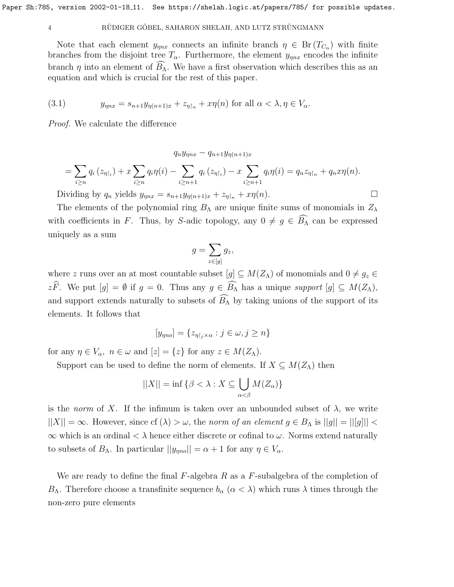## 4 RÜDIGER GÖBEL, SAHARON SHELAH, AND LUTZ STRÜNGMANN

Note that each element  $y_{\eta nx}$  connects an infinite branch  $\eta \in \text{Br}(T_{C_{\alpha}})$  with finite branches from the disjoint tree  $T_{\alpha}$ . Furthermore, the element  $y_{\eta nx}$  encodes the infinite branch  $\eta$  into an element of  $B_{\Lambda}$ . We have a first observation which describes this as an equation and which is crucial for the rest of this paper.

<span id="page-3-0"></span>(3.1) 
$$
y_{\eta nx} = s_{n+1} y_{\eta(n+1)x} + z_{\eta \upharpoonright n} + x \eta(n) \text{ for all } \alpha < \lambda, \eta \in V_{\alpha}.
$$

Proof. We calculate the difference

 $q_n y_{mnx} - q_{n+1} y_{n(n+1)x}$  $=$   $\sum$ i≥n  $q_i\left(z_{\eta\restriction_i}\right)+x\sum$ i≥n  $q_i\eta(i) - \sum$  $i \geq n+1$  $q_i\left(z_{\eta\restriction_i}\right)-x$   $\sum$  $i \geq n+1$  $q_i\eta(i) = q_n z_{\eta\upharpoonright_n} + q_n x \eta(n).$ 

Dividing by  $q_n$  yields  $y_{\eta nx} = s_{n+1}y_{\eta(n+1)x} + z_{\eta \upharpoonright_n} + x\eta(n)$ .

The elements of the polynomial ring  $B_\Lambda$  are unique finite sums of monomials in  $Z_\lambda$ with coefficients in F. Thus, by S-adic topology, any  $0 \neq g \in \widehat{B}_{\Lambda}$  can be expressed uniquely as a sum

$$
g = \sum_{z \in [g]} g_z,
$$

where z runs over an at most countable subset  $[g] \subseteq M(Z_\Lambda)$  of monomials and  $0 \neq g_z \in$  $z\widehat{F}$ . We put  $[g] = \emptyset$  if  $g = 0$ . Thus any  $g \in \widehat{B_{\Lambda}}$  has a unique support  $[g] \subseteq M(Z_{\Lambda})$ , and support extends naturally to subsets of  $\widehat{B_{\Lambda}}$  by taking unions of the support of its elements. It follows that

$$
[y_{\eta no}] = \{z_{\eta|j} \times \alpha : j \in \omega, j \ge n\}
$$

for any  $\eta \in V_\alpha$ ,  $n \in \omega$  and  $[z] = \{z\}$  for any  $z \in M(Z_\Lambda)$ .

Support can be used to define the norm of elements. If  $X \subseteq M(Z_\Lambda)$  then

$$
||X|| = \inf \{ \beta < \lambda : X \subseteq \bigcup_{\alpha < \beta} M(Z_{\alpha}) \}
$$

is the norm of X. If the infimum is taken over an unbounded subset of  $\lambda$ , we write  $||X|| = \infty$ . However, since cf  $(\lambda) > \omega$ , the norm of an element  $g \in B_\Lambda$  is  $||g|| = ||[g]|| <$  $\infty$  which is an ordinal  $\lt \lambda$  hence either discrete or cofinal to  $\omega$ . Norms extend naturally to subsets of  $B_\Lambda$ . In particular  $||y_{\eta no}|| = \alpha + 1$  for any  $\eta \in V_\alpha$ .

We are ready to define the final  $F$ -algebra  $R$  as a  $F$ -subalgebra of the completion of B<sub>Λ</sub>. Therefore choose a transfinite sequence  $b_\alpha$  ( $\alpha < \lambda$ ) which runs λ times through the non-zero pure elements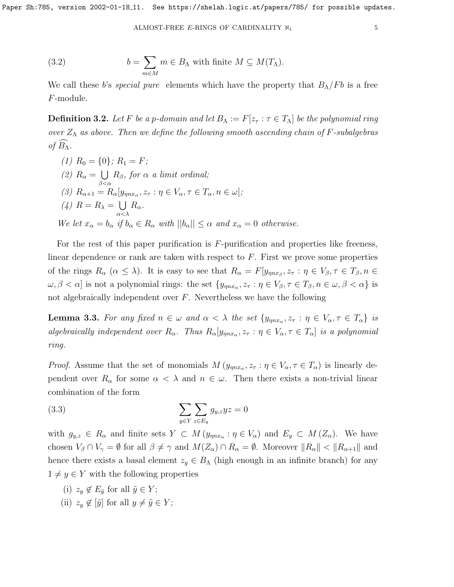<span id="page-4-3"></span>(3.2) 
$$
b = \sum_{m \in M} m \in B_{\Lambda} \text{ with finite } M \subseteq M(T_{\Lambda}).
$$

We call these b's special pure elements which have the property that  $B_{\Lambda}/Fb$  is a free F-module.

<span id="page-4-2"></span>**Definition 3.2.** Let F be a p-domain and let  $B_\Lambda := F[z_\tau : \tau \in T_\Lambda]$  be the polynomial ring over  $Z_{\Lambda}$  as above. Then we define the following smooth ascending chain of F-subalgebras of  $B_\Lambda$ .

(1)  $R_0 = \{0\}; R_1 = F;$ (2)  $R_{\alpha} = \bigcup$  $\beta<\alpha$  $R_{\beta}$ , for  $\alpha$  a limit ordinal; (3)  $R_{\alpha+1} = R_{\alpha}[y_{\eta nx_{\alpha}}, z_{\tau} : \eta \in V_{\alpha}, \tau \in T_{\alpha}, n \in \omega];$ (4)  $R = R_{\lambda} = \bigcup$ α<λ  $R_\alpha$ . We let  $x_{\alpha} = b_{\alpha}$  if  $b_{\alpha} \in R_{\alpha}$  with  $||b_{\alpha}|| \leq \alpha$  and  $x_{\alpha} = 0$  otherwise.

For the rest of this paper purification is F-purification and properties like freeness, linear dependence or rank are taken with respect to  $F$ . First we prove some properties of the rings  $R_{\alpha}$   $(\alpha \leq \lambda)$ . It is easy to see that  $R_{\alpha} = F[y_{\eta n x_{\beta}}, z_{\tau} : \eta \in V_{\beta}, \tau \in T_{\beta}, n \in$  $\omega, \beta < \alpha$ ] is not a polynomial rings: the set  $\{y_{\eta nx_\alpha}, z_\tau : \eta \in V_\beta, \tau \in T_\beta, n \in \omega, \beta < \alpha\}$  is not algebraically independent over  $F$ . Nevertheless we have the following

<span id="page-4-1"></span>**Lemma 3.3.** For any fixed  $n \in \omega$  and  $\alpha < \lambda$  the set  $\{y_{\eta nx_\alpha}, z_\tau : \eta \in V_\alpha, \tau \in T_\alpha\}$  is algebraically independent over  $R_{\alpha}$ . Thus  $R_{\alpha}[y_{\eta nx_{\alpha}}, z_{\tau} : \eta \in V_{\alpha}, \tau \in T_{\alpha}]$  is a polynomial ring.

*Proof.* Assume that the set of monomials  $M(y_{\eta nx_{\alpha}}, z_{\tau} : \eta \in V_{\alpha}, \tau \in T_{\alpha})$  is linearly dependent over  $R_{\alpha}$  for some  $\alpha < \lambda$  and  $n \in \omega$ . Then there exists a non-trivial linear combination of the form

<span id="page-4-0"></span>(3.3) 
$$
\sum_{y \in Y} \sum_{z \in E_y} g_{y,z} y z = 0
$$

with  $g_{y,z} \in R_\alpha$  and finite sets  $Y \subset M(y_{\eta x_\alpha} : \eta \in V_\alpha)$  and  $E_y \subset M(Z_\alpha)$ . We have chosen  $V_\beta \cap V_\gamma = \emptyset$  for all  $\beta \neq \gamma$  and  $M(Z_\alpha) \cap R_\alpha = \emptyset$ . Moreover  $||R_\alpha|| < ||R_{\alpha+1}||$  and hence there exists a basal element  $z_y \in B_\Lambda$  (high enough in an infinite branch) for any  $1 \neq y \in Y$  with the following properties

- (i)  $z_y \notin E_{\tilde{y}}$  for all  $\tilde{y} \in Y$ ;
- (ii)  $z_y \notin [\tilde{y}]$  for all  $y \neq \tilde{y} \in Y$ ;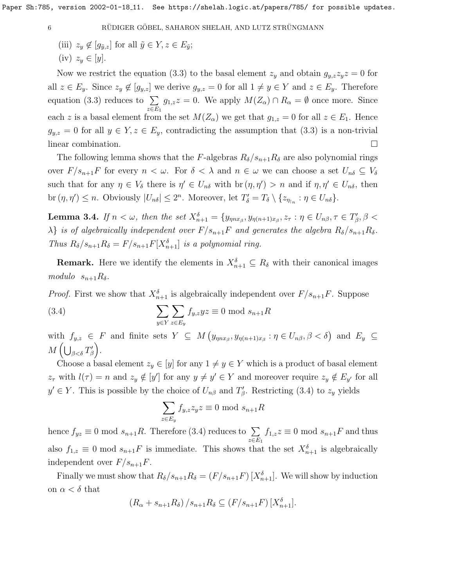(iii)  $z_y \notin [g_{\tilde{y},z}]$  for all  $\tilde{y} \in Y, z \in E_{\tilde{y}};$  $(iv)$   $z_y \in [y]$ .

Now we restrict the equation [\(3.3\)](#page-4-0) to the basal element  $z_y$  and obtain  $g_{y,z}z_yz = 0$  for all  $z \in E_y$ . Since  $z_y \notin [g_{y,z}]$  we derive  $g_{y,z} = 0$  for all  $1 \neq y \in Y$  and  $z \in E_y$ . Therefore equation [\(3.3\)](#page-4-0) reduces to  $\Sigma$  $z \in E_1$  $g_{1,z}z = 0$ . We apply  $M(Z_\alpha) \cap R_\alpha = \emptyset$  once more. Since each z is a basal element from the set  $M(Z_\alpha)$  we get that  $g_{1,z} = 0$  for all  $z \in E_1$ . Hence  $g_{y,z} = 0$  for all  $y \in Y, z \in E_y$ , contradicting the assumption that  $(3.3)$  is a non-trivial linear combination.

The following lemma shows that the F-algebras  $R_{\delta}/s_{n+1}R_{\delta}$  are also polynomial rings over  $F/s_{n+1}F$  for every  $n < \omega$ . For  $\delta < \lambda$  and  $n \in \omega$  we can choose a set  $U_{n\delta} \subseteq V_{\delta}$ such that for any  $\eta \in V_{\delta}$  there is  $\eta' \in U_{n\delta}$  with  $\text{br }(\eta, \eta') > n$  and if  $\eta, \eta' \in U_{n\delta}$ , then br  $(\eta, \eta') \leq n$ . Obviously  $|U_{n\delta}| \leq 2^n$ . Moreover, let  $T'_{\delta} = T_{\delta} \setminus \{z_{\eta_{n}} : \eta \in U_{n\delta}\}.$ 

<span id="page-5-1"></span>**Lemma 3.4.** If  $n < \omega$ , then the set  $X_{n+1}^{\delta} = \{y_{\eta nx_{\beta}}, y_{\eta(n+1)x_{\beta}}, z_{\tau} : \eta \in U_{n\beta}, \tau \in T'_{\beta}, \beta < \tau \}$  $\lambda$ } is of algebraically independent over  $F/s_{n+1}F$  and generates the algebra  $R_{\delta}/s_{n+1}R_{\delta}$ . Thus  $R_{\delta}/s_{n+1}R_{\delta} = F/s_{n+1}F[X_{n+1}^{\delta}]$  is a polynomial ring.

**Remark.** Here we identify the elements in  $X_{n+1}^{\delta} \subseteq R_{\delta}$  with their canonical images modulo  $s_{n+1}R_\delta$ .

*Proof.* First we show that  $X_{n+1}^{\delta}$  is algebraically independent over  $F/s_{n+1}F$ . Suppose  $\sum$ 

(3.4) 
$$
\sum_{y \in Y} \sum_{z \in E_y} f_{y,z} yz \equiv 0 \mod s_{n+1} R
$$

with  $f_{y,z} \in F$  and finite sets  $Y \subseteq M (y_{\eta nx_{\beta}}, y_{\eta(n+1)x_{\beta}} : \eta \in U_{n\beta}, \beta < \delta)$  and  $E_y \subseteq$  $M\left(\bigcup_{\beta<\delta}T_{\beta}'\right)$ .

Choose a basal element  $z_y \in [y]$  for any  $1 \neq y \in Y$  which is a product of basal element  $z_{\tau}$  with  $l(\tau) = n$  and  $z_y \notin [y']$  for any  $y \neq y' \in Y$  and moreover require  $z_y \notin E_{y'}$  for all  $y' \in Y$ . This is possible by the choice of  $U_{n\beta}$  and  $T'_{\beta}$ . Restricting [\(3.4\)](#page-5-0) to  $z_y$  yields

<span id="page-5-0"></span>
$$
\sum_{z \in E_y} f_{y,z} z_y z \equiv 0 \text{ mod } s_{n+1} R
$$

hence  $f_{yz} \equiv 0 \mod s_{n+1}R$ . Therefore [\(3.4\)](#page-5-0) reduces to  $\sum$  $z \in E_1$  $f_{1,z}z \equiv 0 \mod s_{n+1}F$  and thus also  $f_{1,z} \equiv 0 \mod s_{n+1} F$  is immediate. This shows that the set  $X_{n+1}^{\delta}$  is algebraically independent over  $F/s_{n+1}F$ .

Finally we must show that  $R_{\delta}/s_{n+1}R_{\delta} = (F/s_{n+1}F) [X_{n+1}^{\delta}]$ . We will show by induction on  $\alpha < \delta$  that

$$
(R_{\alpha} + s_{n+1}R_{\delta})/s_{n+1}R_{\delta} \subseteq (F/s_{n+1}F)[X_{n+1}^{\delta}].
$$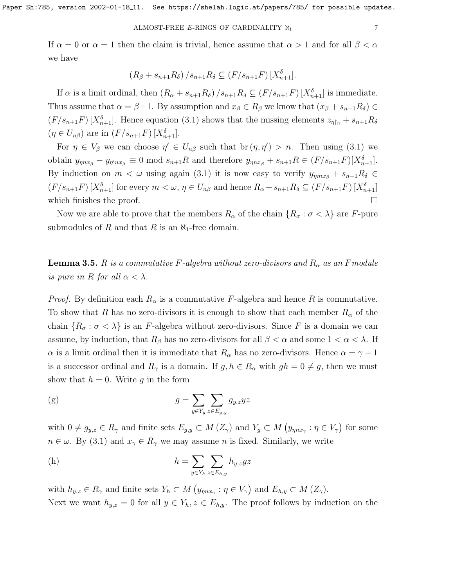#### ALMOST-FREE E-RINGS OF CARDINALITY  $\aleph_1$

If  $\alpha = 0$  or  $\alpha = 1$  then the claim is trivial, hence assume that  $\alpha > 1$  and for all  $\beta < \alpha$ we have

$$
(R_{\beta} + s_{n+1}R_{\delta})/s_{n+1}R_{\delta} \subseteq (F/s_{n+1}F)[X_{n+1}^{\delta}].
$$

If  $\alpha$  is a limit ordinal, then  $(R_{\alpha} + s_{n+1}R_{\delta})/s_{n+1}R_{\delta} \subseteq (F/s_{n+1}F)[X_{n+1}^{\delta}]$  is immediate. Thus assume that  $\alpha = \beta + 1$ . By assumption and  $x_{\beta} \in R_{\beta}$  we know that  $(x_{\beta} + s_{n+1}R_{\delta}) \in$  $(F/s_{n+1}F)$  [ $X_{n+1}^{\delta}$ ]. Hence equation [\(3.1\)](#page-3-0) shows that the missing elements  $z_{\eta\restriction n} + s_{n+1}R_{\delta}$  $(\eta \in U_{n\beta})$  are in  $(F/s_{n+1}F)[X_{n+1}^{\delta}].$ 

For  $\eta \in V_\beta$  we can choose  $\eta' \in U_{n\beta}$  such that  $\text{br }(\eta, \eta') > n$ . Then using [\(3.1\)](#page-3-0) we obtain  $y_{\eta nx_{\beta}} - y_{\eta' nx_{\beta}} \equiv 0 \text{ mod } s_{n+1}R$  and therefore  $y_{\eta nx_{\beta}} + s_{n+1}R \in (F/s_{n+1}F)[X_{n+1}^{\delta}].$ By induction on  $m < \omega$  using again [\(3.1\)](#page-3-0) it is now easy to verify  $y_{\eta m x} + s_{n+1} R_\delta \in$  $(F/s_{n+1}F)\left[X_{n+1}^{\delta}\right]$  for every  $m < \omega, \eta \in U_{n\beta}$  and hence  $R_{\alpha} + s_{n+1}R_{\delta} \subseteq (F/s_{n+1}F)\left[X_{n+1}^{\delta}\right]$ which finishes the proof.  $\Box$ 

Now we are able to prove that the members  $R_{\alpha}$  of the chain  $\{R_{\sigma} : \sigma < \lambda\}$  are F-pure submodules of R and that R is an  $\aleph_1$ -free domain.

<span id="page-6-0"></span>**Lemma 3.5.** R is a commutative F-algebra without zero-divisors and  $R_{\alpha}$  as an F module is pure in R for all  $\alpha < \lambda$ .

*Proof.* By definition each  $R_{\alpha}$  is a commutative F-algebra and hence R is commutative. To show that R has no zero-divisors it is enough to show that each member  $R_{\alpha}$  of the chain  $\{R_{\sigma} : \sigma < \lambda\}$  is an F-algebra without zero-divisors. Since F is a domain we can assume, by induction, that  $R_\beta$  has no zero-divisors for all  $\beta < \alpha$  and some  $1 < \alpha < \lambda$ . If  $\alpha$  is a limit ordinal then it is immediate that  $R_{\alpha}$  has no zero-divisors. Hence  $\alpha = \gamma + 1$ is a successor ordinal and  $R_{\gamma}$  is a domain. If  $g, h \in R_{\alpha}$  with  $gh = 0 \neq g$ , then we must show that  $h = 0$ . Write g in the form

(g) 
$$
g = \sum_{y \in Y_g} \sum_{z \in E_{g,y}} g_{y,z} yz
$$

with  $0 \neq g_{y,z} \in R_\gamma$  and finite sets  $E_{g,y} \subset M(Z_\gamma)$  and  $Y_g \subset M(y_{\eta nx_\gamma} : \eta \in V_\gamma)$  for some  $n \in \omega$ . By [\(3.1\)](#page-3-0) and  $x_{\gamma} \in R_{\gamma}$  we may assume n is fixed. Similarly, we write

(h) 
$$
h = \sum_{y \in Y_h} \sum_{z \in E_{h,y}} h_{y,z} y z
$$

with  $h_{y,z} \in R_\gamma$  and finite sets  $Y_h \subset M$   $(y_{\eta nx_{\gamma}} : \eta \in V_{\gamma})$  and  $E_{h,y} \subset M$   $(Z_{\gamma})$ . Next we want  $h_{y,z} = 0$  for all  $y \in Y_h$ ,  $z \in E_{h,y}$ . The proof follows by induction on the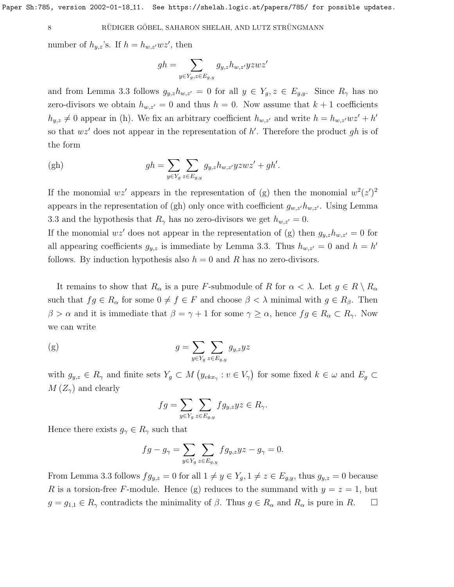number of  $h_{y,z}$ 's. If  $h = h_{w,z'}wz'$ , then

$$
gh = \sum_{y \in Y_g, z \in E_{g,y}} g_{y,z} h_{w,z'} yzwz'
$$

and from Lemma [3.3](#page-4-1) follows  $g_{y,z}h_{w,z'}=0$  for all  $y \in Y_g$ ,  $z \in E_{g,y}$ . Since  $R_\gamma$  has no zero-divisors we obtain  $h_{w,z'} = 0$  and thus  $h = 0$ . Now assume that  $k + 1$  coefficients  $h_{y,z} \neq 0$  appear in (h). We fix an arbitrary coefficient  $h_{w,z'}$  and write  $h = h_{w,z'}wz' + h'$ so that  $wz'$  does not appear in the representation of h'. Therefore the product gh is of the form

$$
\text{(gh)} \qquad \qquad gh = \sum_{y \in Y_g} \sum_{z \in E_{g,y}} g_{y,z} h_{w,z'} yzwz' + gh'.
$$

If the monomial  $wz'$  appears in the representation of (g) then the monomial  $w^2(z')^2$ appears in the representation of (gh) only once with coefficient  $g_{w,z'}h_{w,z'}$ . Using Lemma [3.3](#page-4-1) and the hypothesis that  $R_{\gamma}$  has no zero-divisors we get  $h_{w,z'} = 0$ .

If the monomial  $wz'$  does not appear in the representation of (g) then  $g_{y,z}h_{w,z'}=0$  for all appearing coefficients  $g_{y,z}$  is immediate by Lemma [3.3.](#page-4-1) Thus  $h_{w,z'} = 0$  and  $h = h'$ follows. By induction hypothesis also  $h = 0$  and R has no zero-divisors.

It remains to show that  $R_{\alpha}$  is a pure F-submodule of R for  $\alpha < \lambda$ . Let  $g \in R \setminus R_{\alpha}$ such that  $fg \in R_\alpha$  for some  $0 \neq f \in F$  and choose  $\beta < \lambda$  minimal with  $g \in R_\beta$ . Then  $\beta > \alpha$  and it is immediate that  $\beta = \gamma + 1$  for some  $\gamma \ge \alpha$ , hence  $fg \in R_\alpha \subset R_\gamma$ . Now we can write

(g) 
$$
g = \sum_{y \in Y_g} \sum_{z \in E_{g,y}} g_{y,z} y z
$$

with  $g_{y,z} \in R_\gamma$  and finite sets  $Y_g \subset M(y_{v k x_\gamma} : v \in V_\gamma)$  for some fixed  $k \in \omega$  and  $E_g \subset$  $M(Z_{\gamma})$  and clearly

$$
fg = \sum_{y \in Y_g} \sum_{z \in E_{g,y}} fg_{y,z} yz \in R_{\gamma}.
$$

Hence there exists  $g_{\gamma} \in R_{\gamma}$  such that

$$
fg - g_{\gamma} = \sum_{y \in Y_g} \sum_{z \in E_{g,y}} f g_{y,z} yz - g_{\gamma} = 0.
$$

From Lemma [3.3](#page-4-1) follows  $fg_{y,z} = 0$  for all  $1 \neq y \in Y_g$ ,  $1 \neq z \in E_{g,y}$ , thus  $g_{y,z} = 0$  because R is a torsion-free F-module. Hence (g) reduces to the summand with  $y = z = 1$ , but  $g = g_{1,1} \in R_{\gamma}$  contradicts the minimality of  $\beta$ . Thus  $g \in R_{\alpha}$  and  $R_{\alpha}$  is pure in R.  $\square$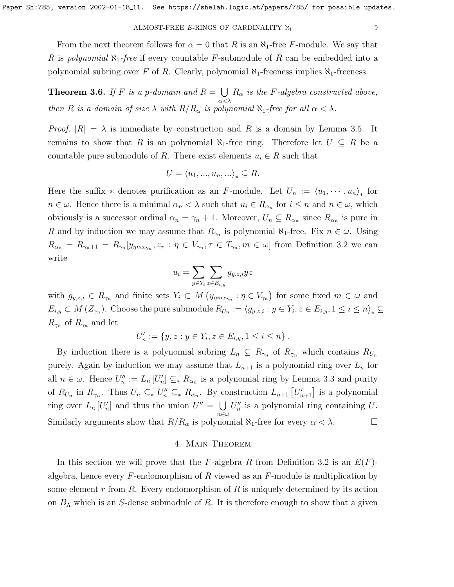From the next theorem follows for  $\alpha = 0$  that R is an  $\aleph_1$ -free F-module. We say that R is polynomial  $\aleph_1$ -free if every countable F-submodule of R can be embedded into a polynomial subring over F of R. Clearly, polynomial  $\aleph_1$ -freeness implies  $\aleph_1$ -freeness.

<span id="page-8-0"></span>**Theorem 3.6.** If F is a p-domain and  $R = \bigcup$ α<λ  $R_{\alpha}$  is the F-algebra constructed above, then R is a domain of size  $\lambda$  with  $R/R_{\alpha}$  is polynomial  $\aleph_1$ -free for all  $\alpha < \lambda$ .

*Proof.*  $|R| = \lambda$  is immediate by construction and R is a domain by Lemma [3.5.](#page-6-0) It remains to show that R is an polynomial  $\aleph_1$ -free ring. Therefore let  $U \subseteq R$  be a countable pure submodule of R. There exist elements  $u_i \in R$  such that

$$
U = \langle u_1, ..., u_n, ...\rangle_* \subseteq R.
$$

Here the suffix  $*$  denotes purification as an F-module. Let  $U_n := \langle u_1, \dots, u_n \rangle_*$  for  $n \in \omega$ . Hence there is a minimal  $\alpha_n < \lambda$  such that  $u_i \in R_{\alpha_n}$  for  $i \leq n$  and  $n \in \omega$ , which obviously is a successor ordinal  $\alpha_n = \gamma_n + 1$ . Moreover,  $U_n \subseteq R_{\alpha_n}$  since  $R_{\alpha_n}$  is pure in R and by induction we may assume that  $R_{\gamma_n}$  is polynomial  $\aleph_1$ -free. Fix  $n \in \omega$ . Using  $R_{\alpha_n} = R_{\gamma_n+1} = R_{\gamma_n}[y_{\eta m x_{\gamma_n}}, z_\tau : \eta \in V_{\gamma_n}, \tau \in T_{\gamma_n}, m \in \omega]$  from Definition [3.2](#page-4-2) we can write

$$
u_i = \sum_{y \in Y_i} \sum_{z \in E_{i,y}} g_{y,z,i} y z
$$

with  $g_{y,z,i} \in R_{\gamma_n}$  and finite sets  $Y_i \subset M(g_{\eta m x_{\gamma_n}} : \eta \in V_{\gamma_n})$  for some fixed  $m \in \omega$  and  $E_{i,y}\subset M\left(Z_{\gamma_n}\right)$ . Choose the pure submodule  $R_{U_n}:=\langle g_{y,z,i} : y\in Y_i, z\in E_{i,y}, 1\leq i\leq n\rangle_*\subseteq$  $R_{\gamma_n}$  of  $R_{\gamma_n}$  and let

$$
U'_n := \{ y, z : y \in Y_i, z \in E_{i,y}, 1 \le i \le n \}.
$$

By induction there is a polynomial subring  $L_n \subseteq R_{\gamma_n}$  of  $R_{\gamma_n}$  which contains  $R_{U_n}$ purely. Again by induction we may assume that  $L_{n+1}$  is a polynomial ring over  $L_n$  for all  $n \in \omega$ . Hence  $U''_n := L_n[U'_n] \subseteq_* R_{\alpha_n}$  is a polynomial ring by Lemma [3.3](#page-4-1) and purity of  $R_{U_n}$  in  $R_{\gamma_n}$ . Thus  $U_n \subseteq_{\ast} U''_n \subseteq_{\ast} R_{\alpha_n}$ . By construction  $L_{n+1} [U'_{n+1}]$  is a polynomial ring over  $L_n[U'_n]$  and thus the union  $U'' = \bigcup$ n∈ω  $U''_n$  is a polynomial ring containing U. Similarly arguments show that  $R/R_{\alpha}$  is polynomial  $\aleph_1$ -free for every  $\alpha < \lambda$ .

## 4. Main Theorem

In this section we will prove that the F-algebra R from Definition [3.2](#page-4-2) is an  $E(F)$ algebra, hence every  $F$ -endomorphism of  $R$  viewed as an  $F$ -module is multiplication by some element r from R. Every endomorphism of R is uniquely determined by its action on  $B_\Lambda$  which is an S-dense submodule of R. It is therefore enough to show that a given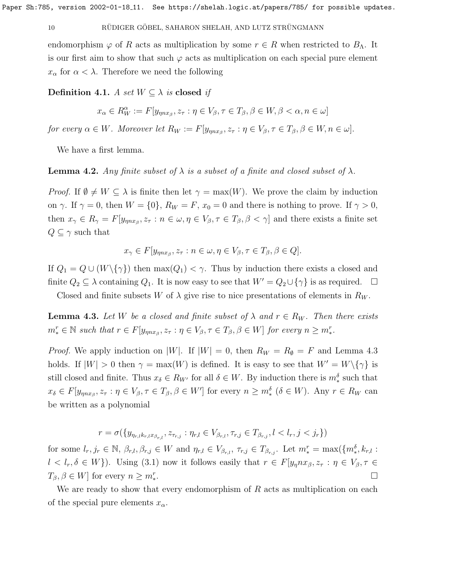## 10 RÜDIGER GÖBEL, SAHARON SHELAH, AND LUTZ STRÜNGMANN

endomorphism  $\varphi$  of R acts as multiplication by some  $r \in R$  when restricted to  $B_{\Lambda}$ . It is our first aim to show that such  $\varphi$  acts as multiplication on each special pure element  $x_{\alpha}$  for  $\alpha < \lambda$ . Therefore we need the following

Definition 4.1. A set  $W \subseteq \lambda$  is closed if

$$
x_{\alpha} \in R_W^{\alpha} := F[y_{\eta nx_{\beta}}, z_{\tau} : \eta \in V_{\beta}, \tau \in T_{\beta}, \beta \in W, \beta < \alpha, n \in \omega]
$$

for every  $\alpha \in W$ . Moreover let  $R_W := F[y_{\eta n x_{\beta}}, z_{\tau} : \eta \in V_{\beta}, \tau \in T_{\beta}, \beta \in W, n \in \omega]$ .

We have a first lemma.

<span id="page-9-1"></span>**Lemma 4.2.** Any finite subset of  $\lambda$  is a subset of a finite and closed subset of  $\lambda$ .

*Proof.* If  $\emptyset \neq W \subseteq \lambda$  is finite then let  $\gamma = \max(W)$ . We prove the claim by induction on  $\gamma$ . If  $\gamma = 0$ , then  $W = \{0\}$ ,  $R_W = F$ ,  $x_0 = 0$  and there is nothing to prove. If  $\gamma > 0$ , then  $x_{\gamma} \in R_{\gamma} = F[y_{\eta nx_{\beta}}, z_{\tau} : n \in \omega, \eta \in V_{\beta}, \tau \in T_{\beta}, \beta < \gamma]$  and there exists a finite set  $Q \subseteq \gamma$  such that

$$
x_{\gamma} \in F[y_{\eta nx_{\beta}}, z_{\tau} : n \in \omega, \eta \in V_{\beta}, \tau \in T_{\beta}, \beta \in Q].
$$

If  $Q_1 = Q \cup (W \setminus \{\gamma\})$  then  $\max(Q_1) < \gamma$ . Thus by induction there exists a closed and finite  $Q_2 \subseteq \lambda$  containing  $Q_1$ . It is now easy to see that  $W' = Q_2 \cup {\gamma}$  is as required.  $\Box$ 

Closed and finite subsets W of  $\lambda$  give rise to nice presentations of elements in  $R_W$ .

<span id="page-9-0"></span>**Lemma 4.3.** Let W be a closed and finite subset of  $\lambda$  and  $r \in R_W$ . Then there exists  $m_*^r \in \mathbb{N}$  such that  $r \in F[y_{\eta nx_\beta}, z_\tau : \eta \in V_\beta, \tau \in T_\beta, \beta \in W]$  for every  $n \geq m_*^r$ .

*Proof.* We apply induction on |W|. If  $|W| = 0$ , then  $R_W = R_\emptyset = F$  and Lemma [4.3](#page-9-0) holds. If  $|W| > 0$  then  $\gamma = \max(W)$  is defined. It is easy to see that  $W' = W \setminus {\gamma}$  is still closed and finite. Thus  $x_{\delta} \in R_{W'}$  for all  $\delta \in W$ . By induction there is  $m_{*}^{\delta}$  such that  $x_{\delta} \in F[y_{\eta nx_{\beta}}, z_{\tau} : \eta \in V_{\beta}, \tau \in T_{\beta}, \beta \in W']$  for every  $n \geq m_{*}^{\delta}$  ( $\delta \in W$ ). Any  $r \in R_W$  can be written as a polynomial

$$
r = \sigma(\{y_{\eta_{r,l}k_{r,l}x_{\beta_{r,l}}}, z_{\tau_{r,j}} : \eta_{r,l} \in V_{\beta_{r,l}}, \tau_{r,j} \in T_{\beta_{r,j}}, l < l_r, j < j_r\})
$$

for some  $l_r, j_r \in \mathbb{N}, \beta_{r,l}, \beta_{r,j} \in W$  and  $\eta_{r,l} \in V_{\beta_{r,l}}, \tau_{r,j} \in T_{\beta_{r,j}}$ . Let  $m_*^r = \max(\{m_*^{\delta}, k_{r,l}\}:$  $l < l_r, \delta \in W$ ). Using [\(3.1\)](#page-3-0) now it follows easily that  $r \in F[y_\eta nx_\beta, z_\tau : \eta \in V_\beta, \tau \in V_\gamma]$  $T_{\beta}, \beta \in W$ ] for every  $n \geq m_*^r$ . В последните поставите на селото на селото на селото на селото на селото на селото на селото на селото на се<br>Селото на селото на селото на селото на селото на селото на селото на селото на селото на селото на селото на

We are ready to show that every endomorphism of  $R$  acts as multiplication on each of the special pure elements  $x_{\alpha}$ .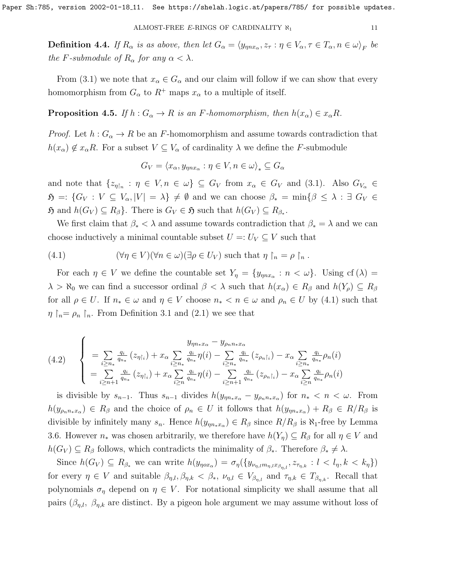**Definition 4.4.** If  $R_{\alpha}$  is as above, then let  $G_{\alpha} = \langle y_{\eta n x_{\alpha}}, z_{\tau} : \eta \in V_{\alpha}, \tau \in T_{\alpha}, n \in \omega \rangle_F$  be the F-submodule of  $R_{\alpha}$  for any  $\alpha < \lambda$ .

From [\(3.1\)](#page-3-0) we note that  $x_{\alpha} \in G_{\alpha}$  and our claim will follow if we can show that every homomorphism from  $G_{\alpha}$  to  $R^+$  maps  $x_{\alpha}$  to a multiple of itself.

<span id="page-10-1"></span>**Proposition 4.5.** If  $h: G_\alpha \to R$  is an F-homomorphism, then  $h(x_\alpha) \in x_\alpha R$ .

*Proof.* Let  $h: G_{\alpha} \to R$  be an F-homomorphism and assume towards contradiction that  $h(x_\alpha) \notin x_\alpha R$ . For a subset  $V \subseteq V_\alpha$  of cardinality  $\lambda$  we define the F-submodule

$$
G_V = \langle x_\alpha, y_{\eta n x_\alpha} : \eta \in V, n \in \omega \rangle_* \subseteq G_\alpha
$$

and note that  $\{z_{\eta\upharpoonright_n} : \eta \in V, n \in \omega\} \subseteq G_V$  from  $x_\alpha \in G_V$  and [\(3.1\)](#page-3-0). Also  $G_{V_\alpha} \in$  $\mathfrak{H} =: \{ G_V : V \subseteq V_\alpha, |V| = \lambda \} \neq \emptyset$  and we can choose  $\beta_* = \min\{\beta \leq \lambda : \exists G_V \in$  $\mathfrak{H}$  and  $h(G_V) \subseteq R_\beta$ . There is  $G_V \in \mathfrak{H}$  such that  $h(G_V) \subseteq R_{\beta_*}$ .

We first claim that  $\beta_* < \lambda$  and assume towards contradiction that  $\beta_* = \lambda$  and we can choose inductively a minimal countable subset  $U =: U_V \subseteq V$  such that

<span id="page-10-0"></span>(4.1) 
$$
(\forall \eta \in V)(\forall n \in \omega)(\exists \rho \in U_V) \text{ such that } \eta \upharpoonright_n = \rho \upharpoonright_n.
$$

For each  $\eta \in V$  we define the countable set  $Y_{\eta} = \{y_{\eta n x_{\alpha}} : n < \omega\}$ . Using cf( $\lambda$ ) =  $\lambda > \aleph_0$  we can find a successor ordinal  $\beta < \lambda$  such that  $h(x_\alpha) \in R_\beta$  and  $h(Y_\rho) \subseteq R_\beta$ for all  $\rho \in U$ . If  $n_* \in \omega$  and  $\eta \in V$  choose  $n_* < n \in \omega$  and  $\rho_n \in U$  by [\(4.1\)](#page-10-0) such that  $\eta$   $n = \rho_n$   $n$ . From Definition [3.1](#page-2-0) and [\(2.1\)](#page-1-0) we see that

$$
(4.2) \quad\n\begin{cases}\n& y_{\eta n_* x_\alpha} - y_{\rho_n n_* x_\alpha} \\
& = \sum_{i \ge n_*} \frac{q_i}{q_{n_*}} \left( z_{\eta_i} \right) + x_\alpha \sum_{i \ge n_*} \frac{q_i}{q_{n_*}} \eta(i) - \sum_{i \ge n_*} \frac{q_i}{q_{n_*}} \left( z_{\rho_n i_i} \right) - x_\alpha \sum_{i \ge n_*} \frac{q_i}{q_{n_*}} \rho_n(i) \\
& = \sum_{i \ge n+1} \frac{q_i}{q_{n_*}} \left( z_{\eta_i} \right) + x_\alpha \sum_{i \ge n} \frac{q_i}{q_{n_*}} \eta(i) - \sum_{i \ge n+1} \frac{q_i}{q_{n_*}} \left( z_{\rho_n i_i} \right) - x_\alpha \sum_{i \ge n} \frac{q_i}{q_{n_*}} \rho_n(i)\n\end{cases}
$$

is divisible by  $s_{n-1}$ . Thus  $s_{n-1}$  divides  $h(y_{\eta n*x_{\alpha}} - y_{\rho_n n*x_{\alpha}})$  for  $n_* < n < \omega$ . From  $h(y_{\rho_n n_*x_\alpha}) \in R_\beta$  and the choice of  $\rho_n \in U$  it follows that  $h(y_{\eta n_*x_\alpha}) + R_\beta \in R/R_\beta$  is divisible by infinitely many  $s_n$ . Hence  $h(y_{\eta n \star x_\alpha}) \in R_\beta$  since  $R/R_\beta$  is  $\aleph_1$ -free by Lemma [3.6.](#page-8-0) However  $n_*$  was chosen arbitrarily, we therefore have  $h(Y_n) \subseteq R_\beta$  for all  $\eta \in V$  and  $h(G_V) \subseteq R_\beta$  follows, which contradicts the minimality of  $\beta_*$ . Therefore  $\beta_* \neq \lambda$ .

Since  $h(G_V) \subseteq R_{\beta_*}$  we can write  $h(y_{\eta \circ x_\alpha}) = \sigma_\eta(\{y_{\nu_{\eta,l} m_{\eta,l} x_{\beta_{\eta,l}}}, z_{\tau_{\eta,k}} : l < l_\eta, k < k_\eta\})$ for every  $\eta \in V$  and suitable  $\beta_{\eta,l}, \beta_{\eta,k} < \beta_*$ ,  $\nu_{\eta,l} \in V_{\beta_{\eta,l}}$  and  $\tau_{\eta,k} \in T_{\beta_{\eta,k}}$ . Recall that polynomials  $\sigma_{\eta}$  depend on  $\eta \in V$ . For notational simplicity we shall assume that all pairs  $(\beta_{\eta,l}, \beta_{\eta,k})$  are distinct. By a pigeon hole argument we may assume without loss of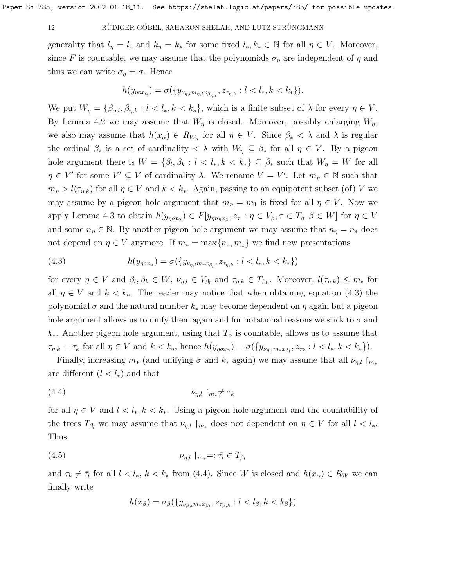### 12 RÜDIGER GÖBEL, SAHARON SHELAH, AND LUTZ STRÜNGMANN

generality that  $l_{\eta} = l_*$  and  $k_{\eta} = k_*$  for some fixed  $l_*, k_* \in \mathbb{N}$  for all  $\eta \in V$ . Moreover, since F is countable, we may assume that the polynomials  $\sigma_{\eta}$  are independent of  $\eta$  and thus we can write  $\sigma_{\eta} = \sigma$ . Hence

$$
h(y_{\eta \circ x_{\alpha}}) = \sigma(\{y_{\nu_{\eta, l} m_{\eta, l} x_{\beta_{\eta, l}}}, z_{\tau_{\eta, k}} : l < l_*, k < k_*\}).
$$

We put  $W_{\eta} = \{\beta_{\eta,l}, \beta_{\eta,k} : l < l_*, k < k_*\},\$  which is a finite subset of  $\lambda$  for every  $\eta \in V$ . By Lemma [4.2](#page-9-1) we may assume that  $W_{\eta}$  is closed. Moreover, possibly enlarging  $W_{\eta}$ , we also may assume that  $h(x_{\alpha}) \in R_{W_{\eta}}$  for all  $\eta \in V$ . Since  $\beta_* < \lambda$  and  $\lambda$  is regular the ordinal  $\beta_*$  is a set of cardinality  $\langle \lambda \rangle$  with  $W_\eta \subseteq \beta_*$  for all  $\eta \in V$ . By a pigeon hole argument there is  $W = \{\beta_l, \beta_k : l \leq l_*, k \leq k_*\} \subseteq \beta_*$  such that  $W_\eta = W$  for all  $\eta \in V'$  for some  $V' \subseteq V$  of cardinality  $\lambda$ . We rename  $V = V'$ . Let  $m_{\eta} \in \mathbb{N}$  such that  $m_{\eta} > l(\tau_{\eta,k})$  for all  $\eta \in V$  and  $k < k_*$ . Again, passing to an equipotent subset (of) V we may assume by a pigeon hole argument that  $m_{\eta} = m_1$  is fixed for all  $\eta \in V$ . Now we apply Lemma [4.3](#page-9-0) to obtain  $h(y_{\eta \alpha x_{\alpha}}) \in F[y_{\eta n_{\eta} x_{\beta}}, z_{\tau} : \eta \in V_{\beta}, \tau \in T_{\beta}, \beta \in W]$  for  $\eta \in V$ and some  $n_{\eta} \in \mathbb{N}$ . By another pigeon hole argument we may assume that  $n_{\eta} = n_*$  does not depend on  $\eta \in V$  anymore. If  $m_* = \max\{n_*, m_1\}$  we find new presentations

<span id="page-11-0"></span>(4.3) 
$$
h(y_{\eta \circ x_{\alpha}}) = \sigma(\{y_{\nu_{\eta,l}m_*x_{\beta_l}}, z_{\tau_{\eta,k}} : l < l_*, k < k_*\})
$$

for every  $\eta \in V$  and  $\beta_l, \beta_k \in W$ ,  $\nu_{\eta,l} \in V_{\beta_l}$  and  $\tau_{\eta,k} \in T_{\beta_k}$ . Moreover,  $l(\tau_{\eta,k}) \leq m_*$  for all  $\eta \in V$  and  $k < k_*$ . The reader may notice that when obtaining equation [\(4.3\)](#page-11-0) the polynomial  $\sigma$  and the natural number  $k_*$  may become dependent on  $\eta$  again but a pigeon hole argument allows us to unify them again and for notational reasons we stick to  $\sigma$  and  $k_{*}$ . Another pigeon hole argument, using that  $T_{\alpha}$  is countable, allows us to assume that  $\tau_{\eta,k} = \tau_k$  for all  $\eta \in V$  and  $k < k_*$ , hence  $h(y_{\eta \circ x_\alpha}) = \sigma(\{y_{\nu_{\eta,l} m * x_{\beta_l}}, z_{\tau_k} : l < l_*, k < k_*\}).$ 

Finally, increasing  $m_*$  (and unifying  $\sigma$  and  $k_*$  again) we may assume that all  $\nu_{\eta,l} \upharpoonright_{m_*}$ are different  $(l < l_*)$  and that

$$
(4.4) \t\t\t\nu_{\eta,l} \upharpoonright_{m_*} \neq \tau_k
$$

for all  $\eta \in V$  and  $l < l_*, k < k_*$ . Using a pigeon hole argument and the countability of the trees  $T_{\beta_l}$  we may assume that  $\nu_{\eta,l} \upharpoonright_{m_*}$  does not dependent on  $\eta \in V$  for all  $l < l_*$ . Thus

$$
(4.5) \t\t\t \nu_{\eta,l} \upharpoonright_{m_*} =: \bar{\tau}_l \in T_{\beta_l}
$$

and  $\tau_k \neq \bar{\tau}_l$  for all  $l < l_*, k < k_*$  from [\(4.4\)](#page-11-1). Since W is closed and  $h(x_\alpha) \in R_W$  we can finally write

<span id="page-11-2"></span><span id="page-11-1"></span>
$$
h(x_{\beta}) = \sigma_{\beta}(\{y_{\nu_{\beta,l}m_*x_{\beta_l}}, z_{\tau_{\beta,k}} : l < l_{\beta}, k < k_{\beta}\})
$$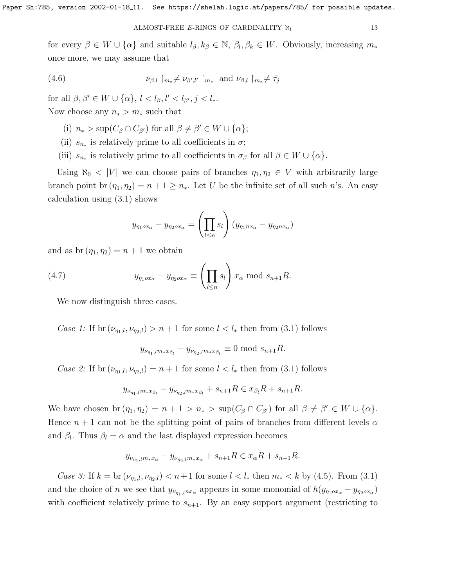for every  $\beta \in W \cup {\alpha}$  and suitable  $l_{\beta}, k_{\beta} \in \mathbb{N}, \beta_l, \beta_k \in W$ . Obviously, increasing  $m_*$ once more, we may assume that

<span id="page-12-0"></span>(4.6) 
$$
\nu_{\beta,l} \upharpoonright_{m_*} \neq \nu_{\beta',l'} \upharpoonright_{m_*} \text{ and } \nu_{\beta,l} \upharpoonright_{m_*} \neq \bar{\tau}_j
$$

for all  $\beta, \beta' \in W \cup \{\alpha\}, l < l_{\beta}, l' < l_{\beta'}, j < l_*$ . Now choose any  $n_* > m_*$  such that

- (i)  $n_* > \sup(C_\beta \cap C_{\beta'})$  for all  $\beta \neq \beta' \in W \cup \{\alpha\};$
- (ii)  $s_{n*}$  is relatively prime to all coefficients in  $\sigma$ ;
- (iii)  $s_{n_*}$  is relatively prime to all coefficients in  $\sigma_\beta$  for all  $\beta \in W \cup \{\alpha\}.$

Using  $\aleph_0 < |V|$  we can choose pairs of branches  $\eta_1, \eta_2 \in V$  with arbitrarily large branch point br  $(\eta_1, \eta_2) = n + 1 \geq n_*$ . Let U be the infinite set of all such n's. An easy calculation using [\(3.1\)](#page-3-0) shows

<span id="page-12-1"></span>
$$
y_{\eta_1 \circ x_\alpha} - y_{\eta_2 \circ x_\alpha} = \left(\prod_{l \leq n} s_l\right) (y_{\eta_1 \circ x_\alpha} - y_{\eta_2 \circ x_\alpha})
$$

and as  $br(\eta_1, \eta_2) = n + 1$  we obtain

(4.7) 
$$
y_{\eta_1 \circ x_\alpha} - y_{\eta_2 \circ x_\alpha} \equiv \left(\prod_{l \leq n} s_l\right) x_\alpha \text{ mod } s_{n+1} R.
$$

We now distinguish three cases.

Case 1: If br  $(\nu_{\eta_1,l}, \nu_{\eta_2,l}) > n+1$  for some  $l < l_*$  then from [\(3.1\)](#page-3-0) follows

$$
y_{\nu_{\eta_1,l}m_*x_{\beta_l}} - y_{\nu_{\eta_2,l}m_*x_{\beta_l}} \equiv 0 \text{ mod } s_{n+1}R.
$$

Case 2: If br  $(\nu_{\eta_1,l}, \nu_{\eta_2,l}) = n+1$  for some  $l < l_*$  then from [\(3.1\)](#page-3-0) follows

$$
y_{\nu_{\eta_1,l}m_*x_{\beta_l}}-y_{\nu_{\eta_2,l}m_*x_{\beta_l}}+s_{n+1}R \in x_{\beta_l}R+s_{n+1}R.
$$

We have chosen br  $(\eta_1, \eta_2) = n + 1 > n_* > \sup(C_\beta \cap C_{\beta'})$  for all  $\beta \neq \beta' \in W \cup \{\alpha\}.$ Hence  $n + 1$  can not be the splitting point of pairs of branches from different levels  $\alpha$ and  $\beta_l$ . Thus  $\beta_l = \alpha$  and the last displayed expression becomes

$$
y_{\nu_{\eta_1,l}m*x_{\alpha}} - y_{\nu_{\eta_2,l}m*x_{\alpha}} + s_{n+1}R \in x_{\alpha}R + s_{n+1}R.
$$

*Case 3:* If  $k = \text{br}(\nu_{n_1,l}, \nu_{n_2,l}) < n+1$  for some  $l < l_*$  then  $m_* < k$  by [\(4.5\)](#page-11-2). From [\(3.1\)](#page-3-0) and the choice of n we see that  $y_{\nu_{\eta_1,l}nx_\alpha}$  appears in some monomial of  $h(y_{\eta_1ox_\alpha}-y_{\eta_2ox_\alpha})$ with coefficient relatively prime to  $s_{n+1}$ . By an easy support argument (restricting to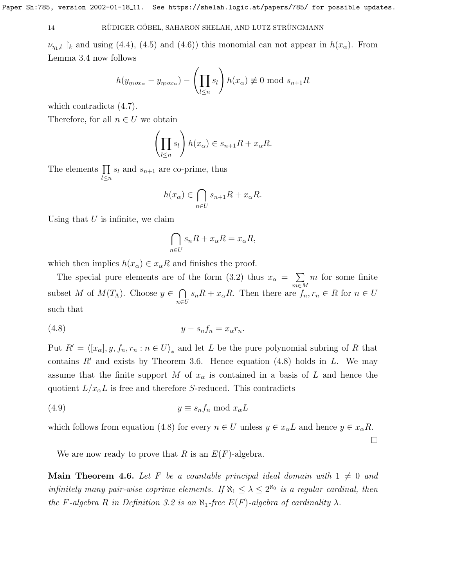### 14 RÜDIGER GÖBEL, SAHARON SHELAH, AND LUTZ STRÜNGMANN

 $\nu_{n,l}$  |k and using [\(4.4\)](#page-11-1), [\(4.5\)](#page-11-2) and [\(4.6\)](#page-12-0)) this monomial can not appear in  $h(x_\alpha)$ . From Lemma [3.4](#page-5-1) now follows

$$
h(y_{\eta_1 \circ x_\alpha} - y_{\eta_2 \circ x_\alpha}) - \left(\prod_{l \le n} s_l\right) h(x_\alpha) \not\equiv 0 \text{ mod } s_{n+1}R
$$

which contradicts [\(4.7\)](#page-12-1).

Therefore, for all  $n \in U$  we obtain

$$
\left(\prod_{l\leq n} s_l\right) h(x_\alpha)\in s_{n+1}R+x_\alpha R.
$$

The elements  $\prod s_l$  and  $s_{n+1}$  are co-prime, thus  $\sum_{i=1}^{n}$ 

$$
h(x_{\alpha}) \in \bigcap_{n \in U} s_{n+1}R + x_{\alpha}R.
$$

Using that  $U$  is infinite, we claim

<span id="page-13-0"></span>
$$
\bigcap_{n\in U} s_n R + x_\alpha R = x_\alpha R,
$$

which then implies  $h(x_\alpha) \in x_\alpha R$  and finishes the proof.

The special pure elements are of the form [\(3.2\)](#page-4-3) thus  $x_{\alpha} = \sum$ m∈M m for some finite subset M of  $M(T_\Lambda)$ . Choose  $y \in \bigcap$ n∈U  $s_nR + x_\alpha R$ . Then there are  $f_n, r_n \in R$  for  $n \in U$ such that

$$
(4.8) \t\t y - s_n f_n = x_\alpha r_n.
$$

Put  $R' = \langle [x_\alpha], y, f_n, r_n : n \in U \rangle_*$  and let L be the pure polynomial subring of R that contains  $R'$  and exists by Theorem [3.6.](#page-8-0) Hence equation [\(4.8\)](#page-13-0) holds in L. We may assume that the finite support M of  $x_{\alpha}$  is contained in a basis of L and hence the quotient  $L/x_{\alpha}L$  is free and therefore S-reduced. This contradicts

$$
(4.9) \t\t y \equiv s_n f_n \bmod x_\alpha L
$$

which follows from equation [\(4.8\)](#page-13-0) for every  $n \in U$  unless  $y \in x_{\alpha}L$  and hence  $y \in x_{\alpha}R$ .

 $\Box$ 

We are now ready to prove that R is an  $E(F)$ -algebra.

**Main Theorem 4.6.** Let F be a countable principal ideal domain with  $1 \neq 0$  and infinitely many pair-wise coprime elements. If  $\aleph_1 \leq \lambda \leq 2^{\aleph_0}$  is a regular cardinal, then the F-algebra R in Definition [3.2](#page-4-2) is an  $\aleph_1$ -free  $E(F)$ -algebra of cardinality  $\lambda$ .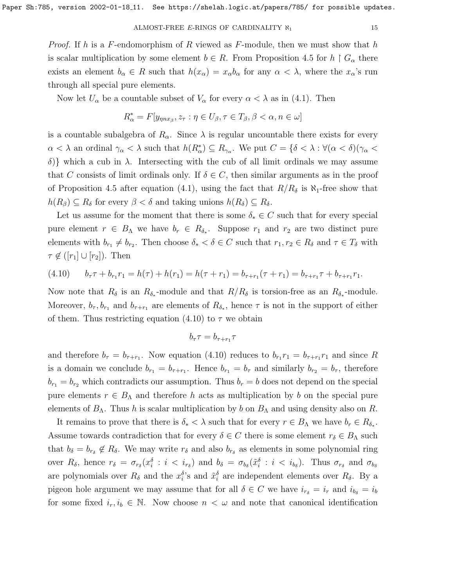*Proof.* If h is a F-endomorphism of R viewed as F-module, then we must show that h is scalar multiplication by some element  $b \in R$ . From Proposition [4.5](#page-10-1) for  $h \restriction G_\alpha$  there exists an element  $b_{\alpha} \in R$  such that  $h(x_{\alpha}) = x_{\alpha}b_{\alpha}$  for any  $\alpha < \lambda$ , where the  $x_{\alpha}$ 's run through all special pure elements.

Now let  $U_{\alpha}$  be a countable subset of  $V_{\alpha}$  for every  $\alpha < \lambda$  as in [\(4.1\)](#page-10-0). Then

$$
R^*_{\alpha} = F[y_{\eta nx_{\beta}}, z_{\tau} : \eta \in U_{\beta}, \tau \in T_{\beta}, \beta < \alpha, n \in \omega]
$$

is a countable subalgebra of  $R_{\alpha}$ . Since  $\lambda$  is regular uncountable there exists for every  $\alpha < \lambda$  an ordinal  $\gamma_{\alpha} < \lambda$  such that  $h(R_{\alpha}^{*}) \subseteq R_{\gamma_{\alpha}}$ . We put  $C = \{\delta < \lambda : \forall (\alpha < \delta)(\gamma_{\alpha} < \lambda)\}$ δ)} which a cub in  $\lambda$ . Intersecting with the cub of all limit ordinals we may assume that C consists of limit ordinals only. If  $\delta \in C$ , then similar arguments as in the proof of Proposition [4.5](#page-10-1) after equation [\(4.1\)](#page-10-0), using the fact that  $R/R_{\delta}$  is  $\aleph_1$ -free show that  $h(R_\beta) \subseteq R_\delta$  for every  $\beta < \delta$  and taking unions  $h(R_\delta) \subseteq R_\delta$ .

Let us assume for the moment that there is some  $\delta_* \in C$  such that for every special pure element  $r \in B_\Lambda$  we have  $b_r \in R_{\delta_*}$ . Suppose  $r_1$  and  $r_2$  are two distinct pure elements with  $b_{r_1} \neq b_{r_2}$ . Then choose  $\delta_* < \delta \in C$  such that  $r_1, r_2 \in R_{\delta}$  and  $\tau \in T_{\delta}$  with  $\tau \notin ([r_1] \cup [r_2])$ . Then

<span id="page-14-0"></span>
$$
(4.10) \t b_{\tau}\tau + b_{r_1}r_1 = h(\tau) + h(r_1) = h(\tau + r_1) = b_{\tau + r_1}(\tau + r_1) = b_{\tau + r_1}\tau + b_{\tau + r_1}r_1.
$$

Now note that  $R_{\delta}$  is an  $R_{\delta_*}$ -module and that  $R/R_{\delta}$  is torsion-free as an  $R_{\delta_*}$ -module. Moreover,  $b_{\tau}, b_{r_1}$  and  $b_{\tau+r_1}$  are elements of  $R_{\delta_*}$ , hence  $\tau$  is not in the support of either of them. Thus restricting equation [\(4.10\)](#page-14-0) to  $\tau$  we obtain

$$
b_{\tau}\tau = b_{\tau+r_1}\tau
$$

and therefore  $b_{\tau} = b_{\tau + r_1}$ . Now equation [\(4.10\)](#page-14-0) reduces to  $b_{r_1} r_1 = b_{\tau + r_1} r_1$  and since R is a domain we conclude  $b_{r_1} = b_{\tau+r_1}$ . Hence  $b_{r_1} = b_{\tau}$  and similarly  $b_{r_2} = b_{\tau}$ , therefore  $b_{r_1} = b_{r_2}$  which contradicts our assumption. Thus  $b_r = b$  does not depend on the special pure elements  $r \in B_\Lambda$  and therefore h acts as multiplication by b on the special pure elements of  $B_\Lambda$ . Thus h is scalar multiplication by b on  $B_\Lambda$  and using density also on R.

It remains to prove that there is  $\delta_* < \lambda$  such that for every  $r \in B_\Lambda$  we have  $b_r \in R_{\delta_*}$ . Assume towards contradiction that for every  $\delta \in C$  there is some element  $r_{\delta} \in B_{\Lambda}$  such that  $b_{\delta} = b_{r_{\delta}} \notin R_{\delta}$ . We may write  $r_{\delta}$  and also  $b_{r_{\delta}}$  as elements in some polynomial ring over  $R_{\delta}$ , hence  $r_{\delta} = \sigma_{r_{\delta}}(x_i^{\delta} : i \langle i_r \rangle)$  and  $b_{\delta} = \sigma_{b_{\delta}}(\tilde{x}_i^{\delta} : i \langle i_s \rangle)$ . Thus  $\sigma_{r_{\delta}}$  and  $\sigma_{b_{\delta}}$ are polynomials over  $R_{\delta}$  and the  $x_i^{\delta}$ 's and  $\tilde{x}_i^{\delta}$  are independent elements over  $R_{\delta}$ . By a pigeon hole argument we may assume that for all  $\delta \in C$  we have  $i_{r_{\delta}} = i_r$  and  $i_{b_{\delta}} = i_b$ for some fixed  $i_r, i_b \in \mathbb{N}$ . Now choose  $n < \omega$  and note that canonical identification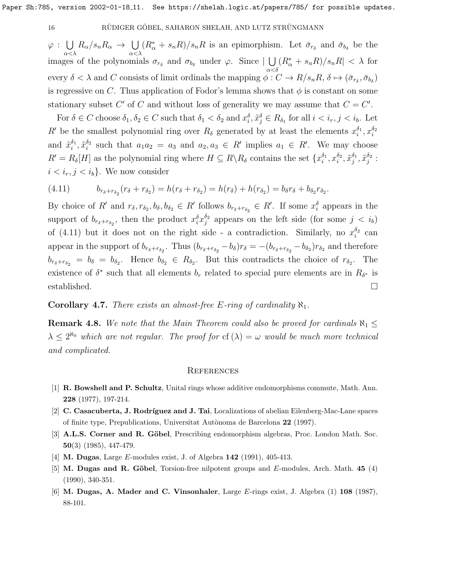$\varphi$  :  $\bigcup$ α<λ  $R_{\alpha}/s_nR_{\alpha} \rightarrow \cup$ α<λ  $(R^*_{\alpha} + s_n R)/s_n R$  is an epimorphism. Let  $\bar{\sigma}_{r_{\delta}}$  and  $\bar{\sigma}_{b_{\delta}}$  be the images of the polynomials  $\sigma_{r_{\delta}}$  and  $\sigma_{b_{\delta}}$  under  $\varphi$ . Since  $|\bigcup$  $\alpha<\delta$  $(R^*_{\alpha} + s_n R)/s_n R < \lambda$  for every  $\delta < \lambda$  and C consists of limit ordinals the mapping  $\phi: C \to R/s_nR$ ,  $\delta \mapsto (\bar{\sigma}_{r_\delta}, \bar{\sigma}_{b_\delta})$ is regressive on C. Thus application of Fodor's lemma shows that  $\phi$  is constant on some stationary subset C' of C and without loss of generality we may assume that  $C = C'$ .

For  $\delta \in C$  choose  $\delta_1, \delta_2 \in C$  such that  $\delta_1 < \delta_2$  and  $x_i^{\delta}, \tilde{x}_j^{\delta} \in R_{\delta_1}$  for all  $i < i_r, j < i_b$ . Let R' be the smallest polynomial ring over  $R_{\delta}$  generated by at least the elements  $x_i^{\delta_1}, x_i^{\delta_2}$ and  $\tilde{x}_i^{\delta_1}, \tilde{x}_i^{\delta_2}$  such that  $a_1 a_2 = a_3$  and  $a_2, a_3 \in R'$  implies  $a_1 \in R'$ . We may choose  $R' = R_\delta[H]$  as the polynomial ring where  $H \subseteq R \setminus R_\delta$  contains the set  $\{x_i^{\delta_1}, x_i^{\delta_2}, \tilde{x}_j^{\delta_1}, \tilde{x}_j^{\delta_2} :$  $i < i_r, j < i_b$ . We now consider

<span id="page-15-6"></span>(4.11) 
$$
b_{r_{\delta}+r_{\delta_2}}(r_{\delta}+r_{\delta_2})=h(r_{\delta}+r_{\delta_2})=h(r_{\delta})+h(r_{\delta_2})=b_{\delta}r_{\delta}+b_{\delta_2}r_{\delta_2}.
$$

By choice of R' and  $r_\delta, r_{\delta_2}, b_\delta, b_{\delta_2} \in R'$  follows  $b_{r_\delta+r_{\delta_2}} \in R'$ . If some  $x_i^{\delta}$  appears in the support of  $b_{r_{\delta}+r_{\delta_2}}$ , then the product  $x_i^{\delta}x_j^{\delta_2}$  appears on the left side (for some  $j \langle i_b \rangle$ of [\(4.11\)](#page-15-6) but it does not on the right side - a contradiction. Similarly, no  $x_i^{\delta_2}$  can appear in the support of  $b_{r_\delta+r_{\delta_2}}$ . Thus  $(b_{r_\delta+r_{\delta_2}}-b_\delta)r_\delta = -(b_{r_\delta+r_{\delta_2}}-b_{\delta_2})r_{\delta_2}$  and therefore  $b_{r_{\delta}+r_{\delta_2}} = b_{\delta} = b_{\delta_2}$ . Hence  $b_{\delta_2} \in R_{\delta_2}$ . But this contradicts the choice of  $r_{\delta_2}$ . The existence of  $\delta^*$  such that all elements  $b_r$  related to special pure elements are in  $R_{\delta^*}$  is established.  $\square$ 

**Corollary 4.7.** There exists an almost-free E-ring of cardinality  $\aleph_1$ .

**Remark 4.8.** We note that the Main Theorem could also be proved for cardinals  $\aleph_1 \leq$  $\lambda \leq 2^{\aleph_0}$  which are not regular. The proof for cf  $(\lambda) = \omega$  would be much more technical and complicated.

#### **REFERENCES**

- <span id="page-15-0"></span>[1] R. Bowshell and P. Schultz, Unital rings whose additive endomorphisms commute, Math. Ann. 228 (1977), 197-214.
- <span id="page-15-1"></span>[2] C. Casacuberta, J. Rodríguez and J. Tai, Localizations of abelian Eilenberg-Mac-Lane spaces of finite type, Prepublications, Universitat Autònoma de Barcelona 22 (1997).
- <span id="page-15-5"></span>[3] A.L.S. Corner and R. Göbel, Prescribing endomorphism algebras, Proc. London Math. Soc. 50(3) (1985), 447-479.
- <span id="page-15-4"></span>[4] M. Dugas, Large E-modules exist, J. of Algebra 142 (1991), 405-413.
- <span id="page-15-3"></span>[5] M. Dugas and R. Göbel, Torsion-free nilpotent groups and  $E$ -modules, Arch. Math. 45 (4) (1990), 340-351.
- <span id="page-15-2"></span>[6] M. Dugas, A. Mader and C. Vinsonhaler, Large E-rings exist, J. Algebra (1) 108 (1987), 88-101.